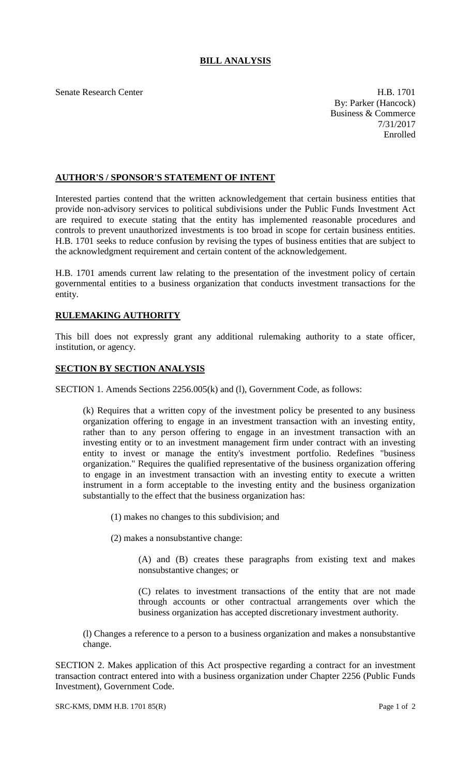## **BILL ANALYSIS**

Senate Research Center **H.B. 1701** By: Parker (Hancock) Business & Commerce 7/31/2017 Enrolled

## **AUTHOR'S / SPONSOR'S STATEMENT OF INTENT**

Interested parties contend that the written acknowledgement that certain business entities that provide non-advisory services to political subdivisions under the Public Funds Investment Act are required to execute stating that the entity has implemented reasonable procedures and controls to prevent unauthorized investments is too broad in scope for certain business entities. H.B. 1701 seeks to reduce confusion by revising the types of business entities that are subject to the acknowledgment requirement and certain content of the acknowledgement.

H.B. 1701 amends current law relating to the presentation of the investment policy of certain governmental entities to a business organization that conducts investment transactions for the entity.

## **RULEMAKING AUTHORITY**

This bill does not expressly grant any additional rulemaking authority to a state officer, institution, or agency.

## **SECTION BY SECTION ANALYSIS**

SECTION 1. Amends Sections 2256.005(k) and (l), Government Code, as follows:

(k) Requires that a written copy of the investment policy be presented to any business organization offering to engage in an investment transaction with an investing entity, rather than to any person offering to engage in an investment transaction with an investing entity or to an investment management firm under contract with an investing entity to invest or manage the entity's investment portfolio. Redefines "business organization." Requires the qualified representative of the business organization offering to engage in an investment transaction with an investing entity to execute a written instrument in a form acceptable to the investing entity and the business organization substantially to the effect that the business organization has:

(1) makes no changes to this subdivision; and

(2) makes a nonsubstantive change:

(A) and (B) creates these paragraphs from existing text and makes nonsubstantive changes; or

(C) relates to investment transactions of the entity that are not made through accounts or other contractual arrangements over which the business organization has accepted discretionary investment authority.

(l) Changes a reference to a person to a business organization and makes a nonsubstantive change.

SECTION 2. Makes application of this Act prospective regarding a contract for an investment transaction contract entered into with a business organization under Chapter 2256 (Public Funds Investment), Government Code.